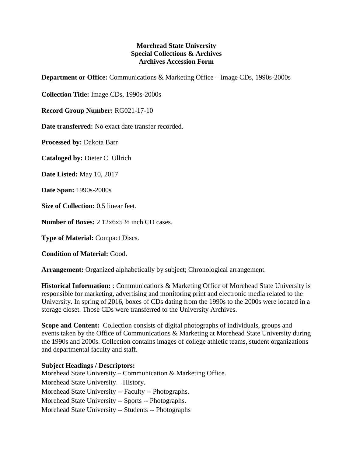## **Morehead State University Special Collections & Archives Archives Accession Form**

**Department or Office:** Communications & Marketing Office – Image CDs, 1990s-2000s

**Collection Title:** Image CDs, 1990s-2000s

**Record Group Number:** RG021-17-10

**Date transferred:** No exact date transfer recorded.

**Processed by:** Dakota Barr

**Cataloged by:** Dieter C. Ullrich

**Date Listed:** May 10, 2017

**Date Span:** 1990s-2000s

**Size of Collection:** 0.5 linear feet.

**Number of Boxes:** 2 12x6x5 ½ inch CD cases.

**Type of Material:** Compact Discs.

**Condition of Material:** Good.

**Arrangement:** Organized alphabetically by subject; Chronological arrangement.

**Historical Information:** : Communications & Marketing Office of Morehead State University is responsible for marketing, advertising and monitoring print and electronic media related to the University. In spring of 2016, boxes of CDs dating from the 1990s to the 2000s were located in a storage closet. Those CDs were transferred to the University Archives.

**Scope and Content:** Collection consists of digital photographs of individuals, groups and events taken by the Office of Communications & Marketing at Morehead State University during the 1990s and 2000s. Collection contains images of college athletic teams, student organizations and departmental faculty and staff.

## **Subject Headings / Descriptors:**

Morehead State University – Communication & Marketing Office. Morehead State University – History. Morehead State University -- Faculty -- Photographs. Morehead State University -- Sports -- Photographs. Morehead State University -- Students -- Photographs